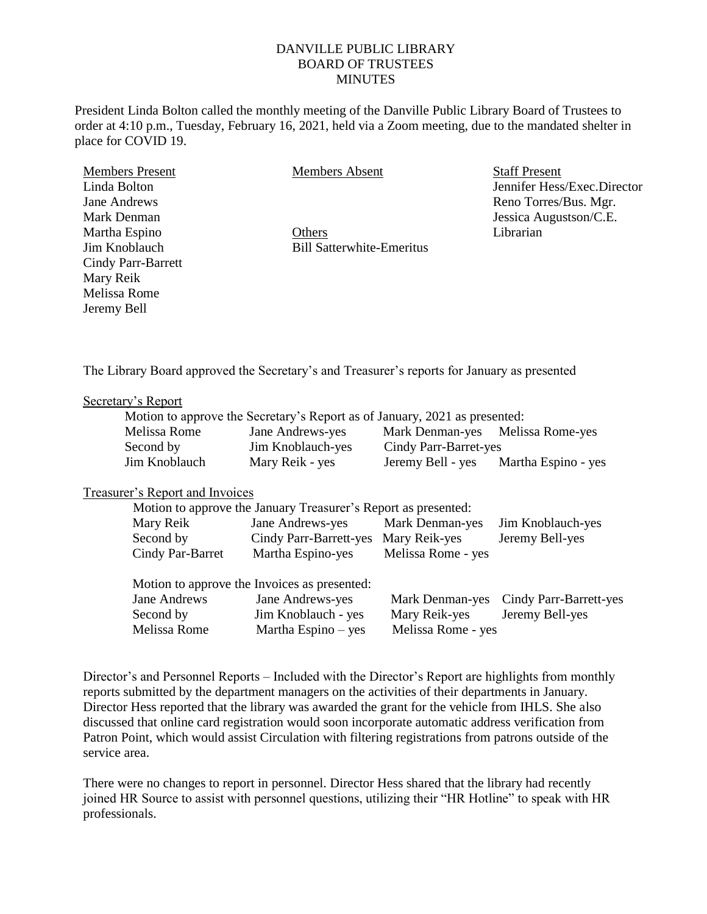# DANVILLE PUBLIC LIBRARY BOARD OF TRUSTEES **MINUTES**

President Linda Bolton called the monthly meeting of the Danville Public Library Board of Trustees to order at 4:10 p.m., Tuesday, February 16, 2021, held via a Zoom meeting, due to the mandated shelter in place for COVID 19.

Members Present Linda Bolton Jane Andrews Mark Denman Martha Espino Jim Knoblauch Cindy Parr-Barrett Mary Reik Melissa Rome Jeremy Bell

Members Absent

**Others** Bill Satterwhite-Emeritus Staff Present Jennifer Hess/Exec.Director Reno Torres/Bus. Mgr. Jessica Augustson/C.E. Librarian

The Library Board approved the Secretary's and Treasurer's reports for January as presented

### Secretary's Report

| Motion to approve the Secretary's Report as of January, 2021 as presented: |                   |                       |                                  |
|----------------------------------------------------------------------------|-------------------|-----------------------|----------------------------------|
| Melissa Rome                                                               | Jane Andrews-yes  |                       | Mark Denman-yes Melissa Rome-yes |
| Second by                                                                  | Jim Knoblauch-yes | Cindy Parr-Barret-yes |                                  |
| Jim Knoblauch                                                              | Mary Reik - yes   | Jeremy Bell - yes     | Martha Espino - yes              |

# Treasurer's Report and Invoices

| Motion to approve the January Treasurer's Report as presented: |                                      |                    |                        |  |  |  |
|----------------------------------------------------------------|--------------------------------------|--------------------|------------------------|--|--|--|
| Mary Reik                                                      | Jane Andrews-yes                     | Mark Denman-yes    | Jim Knoblauch-yes      |  |  |  |
| Second by                                                      | Cindy Parr-Barrett-yes Mary Reik-yes |                    | Jeremy Bell-yes        |  |  |  |
| Cindy Par-Barret                                               | Martha Espino-yes                    | Melissa Rome - yes |                        |  |  |  |
| Motion to approve the Invoices as presented:                   |                                      |                    |                        |  |  |  |
| Jane Andrews                                                   | Jane Andrews-yes                     | Mark Denman-yes    | Cindy Parr-Barrett-yes |  |  |  |
| Second by                                                      | Jim Knoblauch - yes                  | Mary Reik-yes      | Jeremy Bell-yes        |  |  |  |
| Melissa Rome                                                   | Martha Espino $-$ yes                | Melissa Rome - yes |                        |  |  |  |

Director's and Personnel Reports – Included with the Director's Report are highlights from monthly reports submitted by the department managers on the activities of their departments in January. Director Hess reported that the library was awarded the grant for the vehicle from IHLS. She also discussed that online card registration would soon incorporate automatic address verification from Patron Point, which would assist Circulation with filtering registrations from patrons outside of the service area.

There were no changes to report in personnel. Director Hess shared that the library had recently joined HR Source to assist with personnel questions, utilizing their "HR Hotline" to speak with HR professionals.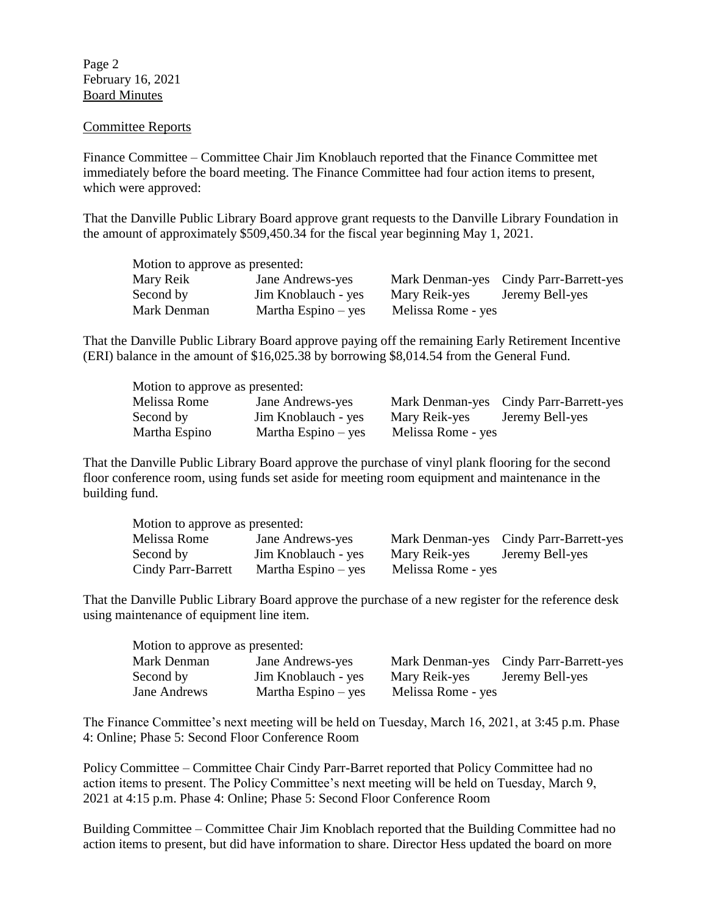Page 2 February 16, 2021 Board Minutes

### Committee Reports

Finance Committee – Committee Chair Jim Knoblauch reported that the Finance Committee met immediately before the board meeting. The Finance Committee had four action items to present, which were approved:

That the Danville Public Library Board approve grant requests to the Danville Library Foundation in the amount of approximately \$509,450.34 for the fiscal year beginning May 1, 2021.

| Motion to approve as presented: |                       |                    |                                        |  |  |
|---------------------------------|-----------------------|--------------------|----------------------------------------|--|--|
| Mary Reik                       | Jane Andrews-yes      |                    | Mark Denman-yes Cindy Parr-Barrett-yes |  |  |
| Second by                       | Jim Knoblauch - yes   | Mary Reik-yes      | Jeremy Bell-yes                        |  |  |
| Mark Denman                     | Martha Espino $-$ yes | Melissa Rome - yes |                                        |  |  |

That the Danville Public Library Board approve paying off the remaining Early Retirement Incentive (ERI) balance in the amount of \$16,025.38 by borrowing \$8,014.54 from the General Fund.

| Motion to approve as presented: |                       |                    |                                        |  |
|---------------------------------|-----------------------|--------------------|----------------------------------------|--|
| Melissa Rome                    | Jane Andrews-yes      |                    | Mark Denman-yes Cindy Parr-Barrett-yes |  |
| Second by                       | Jim Knoblauch - yes   | Mary Reik-yes      | Jeremy Bell-yes                        |  |
| Martha Espino                   | Martha Espino $-$ yes | Melissa Rome - yes |                                        |  |

That the Danville Public Library Board approve the purchase of vinyl plank flooring for the second floor conference room, using funds set aside for meeting room equipment and maintenance in the building fund.

| Motion to approve as presented: |                       |                    |                                        |  |
|---------------------------------|-----------------------|--------------------|----------------------------------------|--|
| Melissa Rome                    | Jane Andrews-yes      |                    | Mark Denman-yes Cindy Parr-Barrett-yes |  |
| Second by                       | Jim Knoblauch - yes   | Mary Reik-yes      | Jeremy Bell-yes                        |  |
| Cindy Parr-Barrett              | Martha Espino $-$ yes | Melissa Rome - yes |                                        |  |

That the Danville Public Library Board approve the purchase of a new register for the reference desk using maintenance of equipment line item.

|              | Motion to approve as presented: |                       |                                        |                 |  |
|--------------|---------------------------------|-----------------------|----------------------------------------|-----------------|--|
| Mark Denman  |                                 | Jane Andrews-yes      | Mark Denman-yes Cindy Parr-Barrett-yes |                 |  |
| Second by    |                                 | Jim Knoblauch - yes   | Mary Reik-yes                          | Jeremy Bell-yes |  |
| Jane Andrews |                                 | Martha Espino $-$ yes | Melissa Rome - yes                     |                 |  |

The Finance Committee's next meeting will be held on Tuesday, March 16, 2021, at 3:45 p.m. Phase 4: Online; Phase 5: Second Floor Conference Room

Policy Committee – Committee Chair Cindy Parr-Barret reported that Policy Committee had no action items to present. The Policy Committee's next meeting will be held on Tuesday, March 9, 2021 at 4:15 p.m. Phase 4: Online; Phase 5: Second Floor Conference Room

Building Committee – Committee Chair Jim Knoblach reported that the Building Committee had no action items to present, but did have information to share. Director Hess updated the board on more